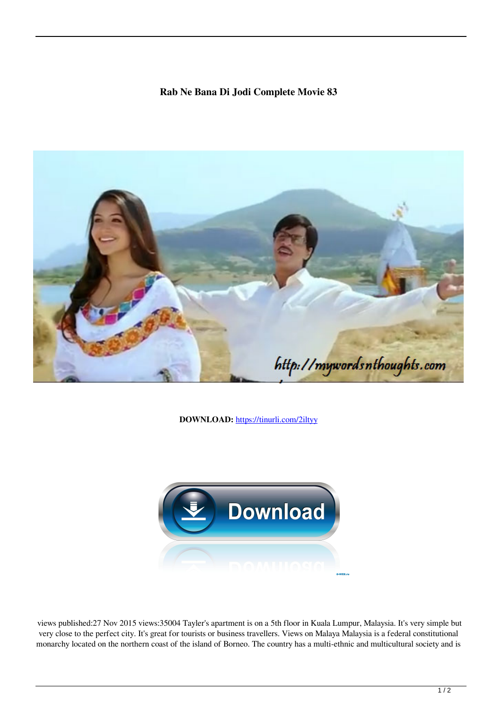## **Rab Ne Bana Di Jodi Complete Movie 83**



**DOWNLOAD:** <https://tinurli.com/2iltyy>



 views published:27 Nov 2015 views:35004 Tayler's apartment is on a 5th floor in Kuala Lumpur, Malaysia. It's very simple but very close to the perfect city. It's great for tourists or business travellers. Views on Malaya Malaysia is a federal constitutional monarchy located on the northern coast of the island of Borneo. The country has a multi-ethnic and multicultural society and is